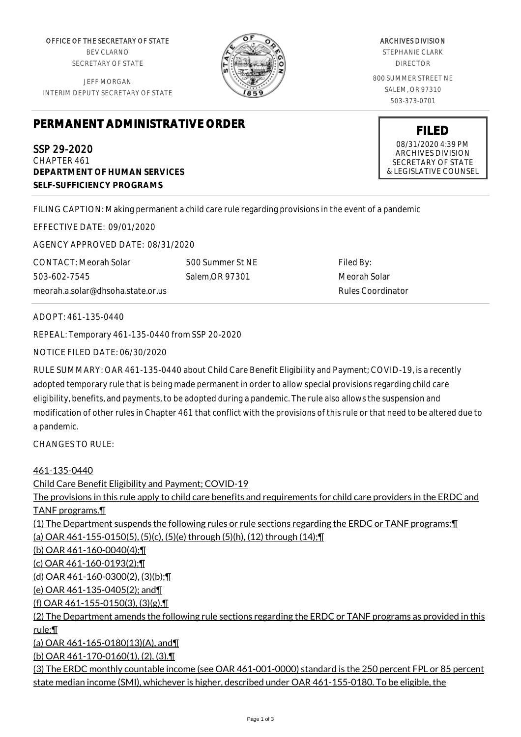OFFICE OF THE SECRETARY OF STATE BEV CLARNO SECRETARY OF STATE

JEFF MORGAN INTERIM DEPUTY SECRETARY OF STATE



ARCHIVES DIVISION STEPHANIE CLARK DIRECTOR 800 SUMMER STREET NE SALEM, OR 97310 503-373-0701

> **FILED** 08/31/2020 4:39 PM ARCHIVES DIVISION SECRETARY OF STATE & LEGISLATIVE COUNSEL

## **PERMANENT ADMINISTRATIVE ORDER**

SSP 29-2020 CHAPTER 461 **DEPARTMENT OF HUMAN SERVICES SELF-SUFFICIENCY PROGRAMS**

FILING CAPTION: Making permanent a child care rule regarding provisions in the event of a pandemic

EFFECTIVE DATE: 09/01/2020

AGENCY APPROVED DATE: 08/31/2020

CONTACT: Meorah Solar 503-602-7545 meorah.a.solar@dhsoha.state.or.us 500 Summer St NE Salem,OR 97301

Filed By: Meorah Solar Rules Coordinator

ADOPT: 461-135-0440

REPEAL: Temporary 461-135-0440 from SSP 20-2020

NOTICE FILED DATE: 06/30/2020

RULE SUMMARY: OAR 461-135-0440 about Child Care Benefit Eligibility and Payment; COVID-19, is a recently adopted temporary rule that is being made permanent in order to allow special provisions regarding child care eligibility, benefits, and payments, to be adopted during a pandemic. The rule also allows the suspension and modification of other rules in Chapter 461 that conflict with the provisions of this rule or that need to be altered due to a pandemic.

CHANGES TO RULE:

## 461-135-0440

Child Care Benefit Eligibility and Payment; COVID-19 The provisions in this rule apply to child care benefits and requirements for child care providers in the ERDC and TANF programs.¶ (1) The Department suspends the following rules or rule sections regarding the ERDC or TANF programs:¶ (a) OAR 461-155-0150(5), (5)(c), (5)(e) through (5)(h), (12) through (14);¶ (b) OAR 461-160-0040(4);¶ (c) OAR 461-160-0193(2);¶ (d) OAR 461-160-0300(2), (3)(b);¶ (e) OAR 461-135-0405(2); and¶ (f) OAR 461-155-0150(3), (3)(g).¶ (2) The Department amends the following rule sections regarding the ERDC or TANF programs as provided in this rule:¶ (a) OAR 461-165-0180(13)(A), and¶ (b) OAR 461-170-0160(1), (2), (3).¶ (3) The ERDC monthly countable income (see OAR 461-001-0000) standard is the 250 percent FPL or 85 percent state median income (SMI), whichever is higher, described under OAR 461-155-0180. To be eligible, the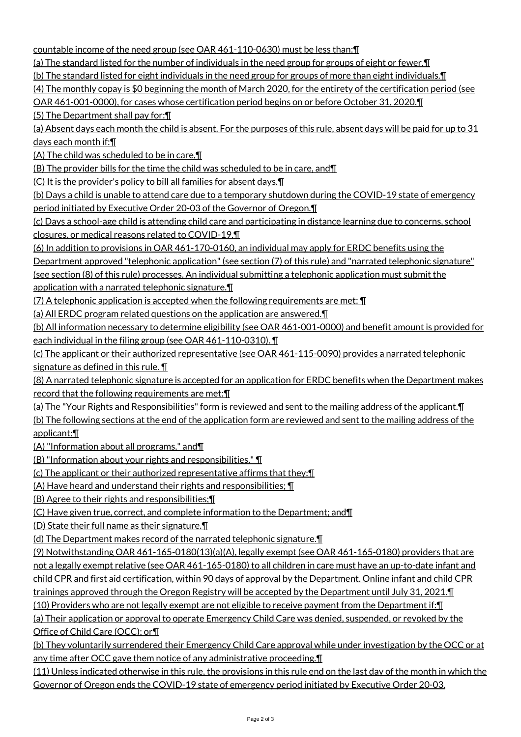countable income of the need group (see OAR 461-110-0630) must be less than:¶

(a) The standard listed for the number of individuals in the need group for groups of eight or fewer.¶

(b) The standard listed for eight individuals in the need group for groups of more than eight individuals.¶

(4) The monthly copay is \$0 beginning the month of March 2020, for the entirety of the certification period (see

OAR 461-001-0000), for cases whose certification period begins on or before October 31, 2020.¶

(5) The Department shall pay for:¶

(a) Absent days each month the child is absent. For the purposes of this rule, absent days will be paid for up to  $31$ days each month if:¶

(A) The child was scheduled to be in care,¶

(B) The provider bills for the time the child was scheduled to be in care, and¶

(C) It is the provider's policy to bill all families for absent days.¶

(b) Days a child is unable to attend care due to a temporary shutdown during the COVID-19 state of emergency period initiated by Executive Order 20-03 of the Governor of Oregon.¶

(c) Days a school-age child is attending child care and participating in distance learning due to concerns, school closures, or medical reasons related to COVID-19.¶

(6) In addition to provisions in OAR 461-170-0160, an individual may apply for ERDC benefits using the

Department approved "telephonic application" (see section (7) of this rule) and "narrated telephonic signature"

(see section (8) of this rule) processes. An individual submitting a telephonic application must submit the application with a narrated telephonic signature.¶

 $(7)$  A telephonic application is accepted when the following requirements are met:  $\P$ 

(a) All ERDC program related questions on the application are answered.¶

(b) All information necessary to determine eligibility (see OAR 461-001-0000) and benefit amount is provided for each individual in the filing group (see OAR 461-110-0310). ¶

(c) The applicant or their authorized representative (see OAR 461-115-0090) provides a narrated telephonic signature as defined in this rule. **[1]** 

(8) A narrated telephonic signature is accepted for an application for ERDC benefits when the Department makes record that the following requirements are met:¶

(a) The "Your Rights and Responsibilities" form is reviewed and sent to the mailing address of the applicant.¶

(b) The following sections at the end of the application form are reviewed and sent to the mailing address of the applicant:¶

(A) "Information about all programs," and¶

(B) "Information about your rights and responsibilities." ¶

(c) The applicant or their authorized representative affirms that they:¶

(A) Have heard and understand their rights and responsibilities; ¶

(B) Agree to their rights and responsibilities;¶

(C) Have given true, correct, and complete information to the Department; and¶

(D) State their full name as their signature.¶

(d) The Department makes record of the narrated telephonic signature.¶

(9) Notwithstanding OAR 461-165-0180(13)(a)(A), legally exempt (see OAR 461-165-0180) providers that are not a legally exempt relative (see OAR 461-165-0180) to all children in care must have an up-to-date infant and child CPR and first aid certification, within 90 days of approval by the Department. Online infant and child CPR trainings approved through the Oregon Registry will be accepted by the Department until July 31, 2021.¶

(10) Providers who are not legally exempt are not eligible to receive payment from the Department if:¶

(a) Their application or approval to operate Emergency Child Care was denied, suspended, or revoked by the Office of Child Care (OCC); or¶

(b) They voluntarily surrendered their Emergency Child Care approval while under investigation by the OCC or at any time after OCC gave them notice of any administrative proceeding.¶

(11) Unless indicated otherwise in this rule, the provisions in this rule end on the last day of the month in which the Governor of Oregon ends the COVID-19 state of emergency period initiated by Executive Order 20-03.